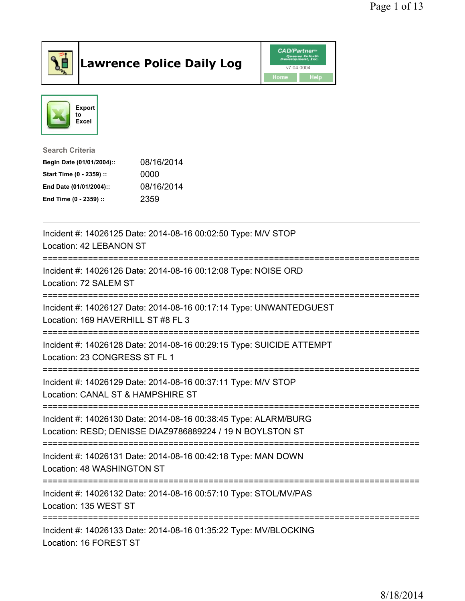

## Lawrence Police Daily Log Value of the CAD/Partner





Search Criteria

| Begin Date (01/01/2004):: | 08/16/2014 |
|---------------------------|------------|
| Start Time (0 - 2359) ::  | 0000       |
| End Date (01/01/2004)::   | 08/16/2014 |
| End Time (0 - 2359) ::    | 2359       |

| Incident #: 14026125 Date: 2014-08-16 00:02:50 Type: M/V STOP<br>Location: 42 LEBANON ST                                     |
|------------------------------------------------------------------------------------------------------------------------------|
| Incident #: 14026126 Date: 2014-08-16 00:12:08 Type: NOISE ORD<br>Location: 72 SALEM ST                                      |
| Incident #: 14026127 Date: 2014-08-16 00:17:14 Type: UNWANTEDGUEST<br>Location: 169 HAVERHILL ST #8 FL 3                     |
| Incident #: 14026128 Date: 2014-08-16 00:29:15 Type: SUICIDE ATTEMPT<br>Location: 23 CONGRESS ST FL 1<br>-----------------   |
| Incident #: 14026129 Date: 2014-08-16 00:37:11 Type: M/V STOP<br>Location: CANAL ST & HAMPSHIRE ST<br>---------------------  |
| Incident #: 14026130 Date: 2014-08-16 00:38:45 Type: ALARM/BURG<br>Location: RESD; DENISSE DIAZ9786889224 / 19 N BOYLSTON ST |
| Incident #: 14026131 Date: 2014-08-16 00:42:18 Type: MAN DOWN<br>Location: 48 WASHINGTON ST                                  |
| Incident #: 14026132 Date: 2014-08-16 00:57:10 Type: STOL/MV/PAS<br>Location: 135 WEST ST                                    |
| Incident #: 14026133 Date: 2014-08-16 01:35:22 Type: MV/BLOCKING<br>Location: 16 FOREST ST                                   |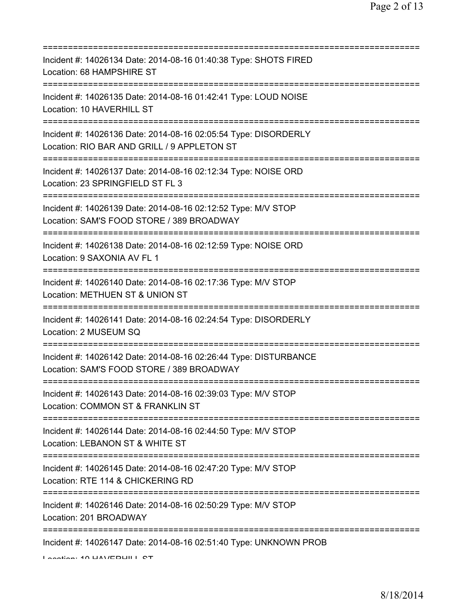| Incident #: 14026134 Date: 2014-08-16 01:40:38 Type: SHOTS FIRED<br>Location: 68 HAMPSHIRE ST                                            |
|------------------------------------------------------------------------------------------------------------------------------------------|
| Incident #: 14026135 Date: 2014-08-16 01:42:41 Type: LOUD NOISE<br>Location: 10 HAVERHILL ST<br>====================                     |
| Incident #: 14026136 Date: 2014-08-16 02:05:54 Type: DISORDERLY<br>Location: RIO BAR AND GRILL / 9 APPLETON ST                           |
| Incident #: 14026137 Date: 2014-08-16 02:12:34 Type: NOISE ORD<br>Location: 23 SPRINGFIELD ST FL 3<br>======================             |
| Incident #: 14026139 Date: 2014-08-16 02:12:52 Type: M/V STOP<br>Location: SAM'S FOOD STORE / 389 BROADWAY                               |
| Incident #: 14026138 Date: 2014-08-16 02:12:59 Type: NOISE ORD<br>Location: 9 SAXONIA AV FL 1<br>====================================    |
| Incident #: 14026140 Date: 2014-08-16 02:17:36 Type: M/V STOP<br>Location: METHUEN ST & UNION ST<br>==================================== |
| Incident #: 14026141 Date: 2014-08-16 02:24:54 Type: DISORDERLY<br>Location: 2 MUSEUM SQ                                                 |
| Incident #: 14026142 Date: 2014-08-16 02:26:44 Type: DISTURBANCE<br>Location: SAM'S FOOD STORE / 389 BROADWAY                            |
| Incident #: 14026143 Date: 2014-08-16 02:39:03 Type: M/V STOP<br>Location: COMMON ST & FRANKLIN ST                                       |
| Incident #: 14026144 Date: 2014-08-16 02:44:50 Type: M/V STOP<br>Location: LEBANON ST & WHITE ST                                         |
| Incident #: 14026145 Date: 2014-08-16 02:47:20 Type: M/V STOP<br>Location: RTE 114 & CHICKERING RD                                       |
| Incident #: 14026146 Date: 2014-08-16 02:50:29 Type: M/V STOP<br>Location: 201 BROADWAY                                                  |
| Incident #: 14026147 Date: 2014-08-16 02:51:40 Type: UNKNOWN PROB                                                                        |

Location: 10 HAVERHILL CT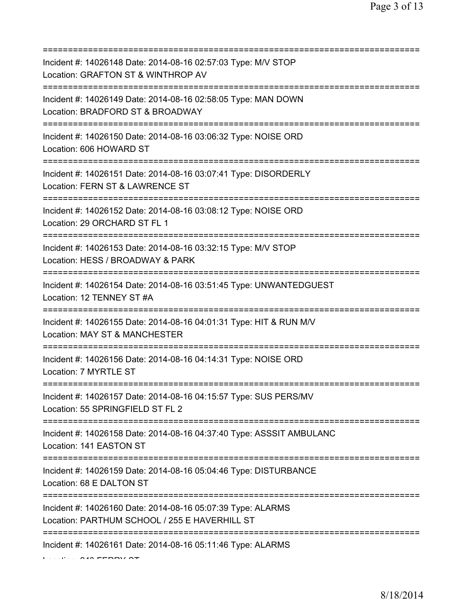| Incident #: 14026148 Date: 2014-08-16 02:57:03 Type: M/V STOP<br>Location: GRAFTON ST & WINTHROP AV<br>=============================== |
|----------------------------------------------------------------------------------------------------------------------------------------|
| Incident #: 14026149 Date: 2014-08-16 02:58:05 Type: MAN DOWN<br>Location: BRADFORD ST & BROADWAY                                      |
| Incident #: 14026150 Date: 2014-08-16 03:06:32 Type: NOISE ORD<br>Location: 606 HOWARD ST<br>====================================      |
| Incident #: 14026151 Date: 2014-08-16 03:07:41 Type: DISORDERLY<br>Location: FERN ST & LAWRENCE ST<br>=====================            |
| Incident #: 14026152 Date: 2014-08-16 03:08:12 Type: NOISE ORD<br>Location: 29 ORCHARD ST FL 1                                         |
| Incident #: 14026153 Date: 2014-08-16 03:32:15 Type: M/V STOP<br>Location: HESS / BROADWAY & PARK                                      |
| Incident #: 14026154 Date: 2014-08-16 03:51:45 Type: UNWANTEDGUEST<br>Location: 12 TENNEY ST #A                                        |
| Incident #: 14026155 Date: 2014-08-16 04:01:31 Type: HIT & RUN M/V<br>Location: MAY ST & MANCHESTER                                    |
| Incident #: 14026156 Date: 2014-08-16 04:14:31 Type: NOISE ORD<br>Location: 7 MYRTLE ST                                                |
| Incident #: 14026157 Date: 2014-08-16 04:15:57 Type: SUS PERS/MV<br>Location: 55 SPRINGFIELD ST FL 2                                   |
| Incident #: 14026158 Date: 2014-08-16 04:37:40 Type: ASSSIT AMBULANC<br>Location: 141 EASTON ST                                        |
| ======================================<br>Incident #: 14026159 Date: 2014-08-16 05:04:46 Type: DISTURBANCE<br>Location: 68 E DALTON ST |
| Incident #: 14026160 Date: 2014-08-16 05:07:39 Type: ALARMS<br>Location: PARTHUM SCHOOL / 255 E HAVERHILL ST                           |
| Incident #: 14026161 Date: 2014-08-16 05:11:46 Type: ALARMS                                                                            |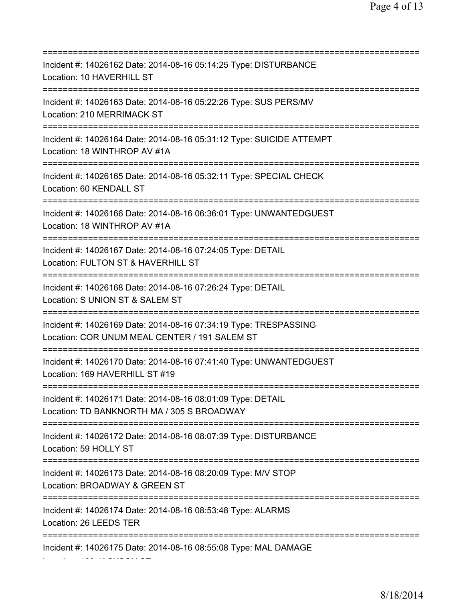| Incident #: 14026162 Date: 2014-08-16 05:14:25 Type: DISTURBANCE<br>Location: 10 HAVERHILL ST                                          |
|----------------------------------------------------------------------------------------------------------------------------------------|
| Incident #: 14026163 Date: 2014-08-16 05:22:26 Type: SUS PERS/MV<br>Location: 210 MERRIMACK ST                                         |
| Incident #: 14026164 Date: 2014-08-16 05:31:12 Type: SUICIDE ATTEMPT<br>Location: 18 WINTHROP AV #1A<br>======================         |
| Incident #: 14026165 Date: 2014-08-16 05:32:11 Type: SPECIAL CHECK<br>Location: 60 KENDALL ST<br>===================================== |
| Incident #: 14026166 Date: 2014-08-16 06:36:01 Type: UNWANTEDGUEST<br>Location: 18 WINTHROP AV #1A<br>================================ |
| Incident #: 14026167 Date: 2014-08-16 07:24:05 Type: DETAIL<br>Location: FULTON ST & HAVERHILL ST<br>:==================               |
| Incident #: 14026168 Date: 2014-08-16 07:26:24 Type: DETAIL<br>Location: S UNION ST & SALEM ST                                         |
| Incident #: 14026169 Date: 2014-08-16 07:34:19 Type: TRESPASSING<br>Location: COR UNUM MEAL CENTER / 191 SALEM ST                      |
| Incident #: 14026170 Date: 2014-08-16 07:41:40 Type: UNWANTEDGUEST<br>Location: 169 HAVERHILL ST #19                                   |
| Incident #: 14026171 Date: 2014-08-16 08:01:09 Type: DETAIL<br>Location: TD BANKNORTH MA / 305 S BROADWAY                              |
| Incident #: 14026172 Date: 2014-08-16 08:07:39 Type: DISTURBANCE<br>Location: 59 HOLLY ST                                              |
| Incident #: 14026173 Date: 2014-08-16 08:20:09 Type: M/V STOP<br>Location: BROADWAY & GREEN ST                                         |
| Incident #: 14026174 Date: 2014-08-16 08:53:48 Type: ALARMS<br>Location: 26 LEEDS TER                                                  |
| Incident #: 14026175 Date: 2014-08-16 08:55:08 Type: MAL DAMAGE                                                                        |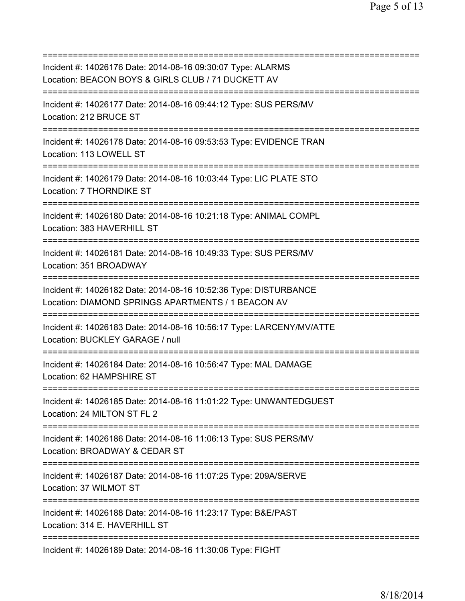| Incident #: 14026176 Date: 2014-08-16 09:30:07 Type: ALARMS<br>Location: BEACON BOYS & GIRLS CLUB / 71 DUCKETT AV                            |
|----------------------------------------------------------------------------------------------------------------------------------------------|
| Incident #: 14026177 Date: 2014-08-16 09:44:12 Type: SUS PERS/MV<br>Location: 212 BRUCE ST                                                   |
| Incident #: 14026178 Date: 2014-08-16 09:53:53 Type: EVIDENCE TRAN<br>Location: 113 LOWELL ST                                                |
| Incident #: 14026179 Date: 2014-08-16 10:03:44 Type: LIC PLATE STO<br>Location: 7 THORNDIKE ST<br>=====================================      |
| Incident #: 14026180 Date: 2014-08-16 10:21:18 Type: ANIMAL COMPL<br>Location: 383 HAVERHILL ST<br>====================================      |
| Incident #: 14026181 Date: 2014-08-16 10:49:33 Type: SUS PERS/MV<br>Location: 351 BROADWAY<br>================================               |
| Incident #: 14026182 Date: 2014-08-16 10:52:36 Type: DISTURBANCE<br>Location: DIAMOND SPRINGS APARTMENTS / 1 BEACON AV<br>:================= |
| Incident #: 14026183 Date: 2014-08-16 10:56:17 Type: LARCENY/MV/ATTE<br>Location: BUCKLEY GARAGE / null                                      |
| Incident #: 14026184 Date: 2014-08-16 10:56:47 Type: MAL DAMAGE<br>Location: 62 HAMPSHIRE ST                                                 |
| Incident #: 14026185 Date: 2014-08-16 11:01:22 Type: UNWANTEDGUEST<br>Location: 24 MILTON ST FL 2<br>=====================================   |
| Incident #: 14026186 Date: 2014-08-16 11:06:13 Type: SUS PERS/MV<br>Location: BROADWAY & CEDAR ST                                            |
| Incident #: 14026187 Date: 2014-08-16 11:07:25 Type: 209A/SERVE<br>Location: 37 WILMOT ST                                                    |
| Incident #: 14026188 Date: 2014-08-16 11:23:17 Type: B&E/PAST<br>Location: 314 E. HAVERHILL ST                                               |
| Incident #: 14026189 Date: 2014-08-16 11:30:06 Type: FIGHT                                                                                   |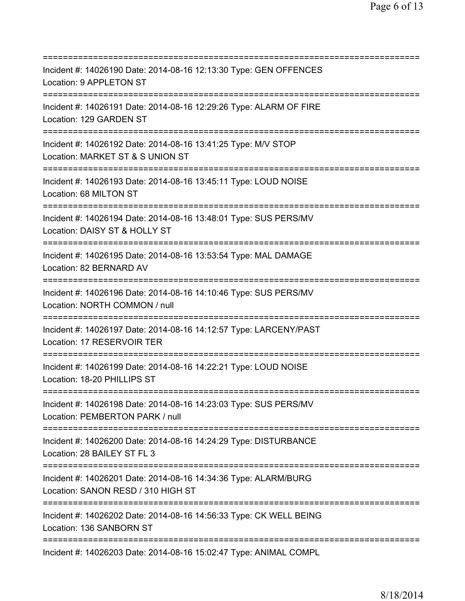=========================================================================== Incident #: 14026190 Date: 2014-08-16 12:13:30 Type: GEN OFFENCES Location: 9 APPLETON ST =========================================================================== Incident #: 14026191 Date: 2014-08-16 12:29:26 Type: ALARM OF FIRE Location: 129 GARDEN ST =========================================================================== Incident #: 14026192 Date: 2014-08-16 13:41:25 Type: M/V STOP Location: MARKET ST & S UNION ST =========================================================================== Incident #: 14026193 Date: 2014-08-16 13:45:11 Type: LOUD NOISE Location: 68 MILTON ST =========================================================================== Incident #: 14026194 Date: 2014-08-16 13:48:01 Type: SUS PERS/MV Location: DAISY ST & HOLLY ST =========================================================================== Incident #: 14026195 Date: 2014-08-16 13:53:54 Type: MAL DAMAGE Location: 82 BERNARD AV =========================================================================== Incident #: 14026196 Date: 2014-08-16 14:10:46 Type: SUS PERS/MV Location: NORTH COMMON / null =========================================================================== Incident #: 14026197 Date: 2014-08-16 14:12:57 Type: LARCENY/PAST Location: 17 RESERVOIR TER =========================================================================== Incident #: 14026199 Date: 2014-08-16 14:22:21 Type: LOUD NOISE Location: 18-20 PHILLIPS ST =========================================================================== Incident #: 14026198 Date: 2014-08-16 14:23:03 Type: SUS PERS/MV Location: PEMBERTON PARK / null =========================================================================== Incident #: 14026200 Date: 2014-08-16 14:24:29 Type: DISTURBANCE Location: 28 BAILEY ST FL 3 =========================================================================== Incident #: 14026201 Date: 2014-08-16 14:34:36 Type: ALARM/BURG Location: SANON RESD / 310 HIGH ST =========================================================================== Incident #: 14026202 Date: 2014-08-16 14:56:33 Type: CK WELL BEING Location: 136 SANBORN ST =========================================================================== Incident #: 14026203 Date: 2014-08-16 15:02:47 Type: ANIMAL COMPL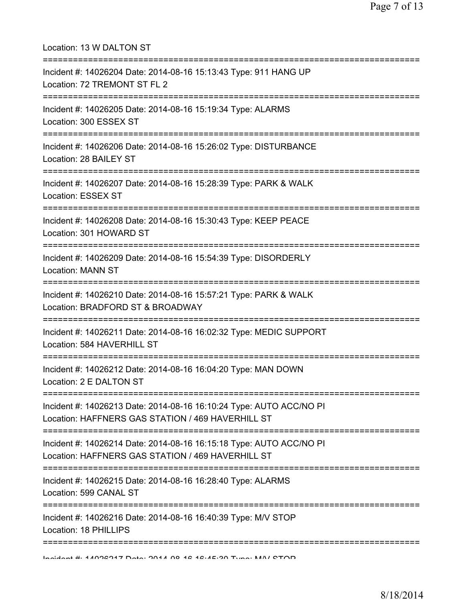| Location: 13 W DALTON ST                                                                                                          |
|-----------------------------------------------------------------------------------------------------------------------------------|
| Incident #: 14026204 Date: 2014-08-16 15:13:43 Type: 911 HANG UP<br>Location: 72 TREMONT ST FL 2                                  |
| Incident #: 14026205 Date: 2014-08-16 15:19:34 Type: ALARMS<br>Location: 300 ESSEX ST<br>;====================================    |
| Incident #: 14026206 Date: 2014-08-16 15:26:02 Type: DISTURBANCE<br>Location: 28 BAILEY ST                                        |
| Incident #: 14026207 Date: 2014-08-16 15:28:39 Type: PARK & WALK<br>Location: ESSEX ST<br>-------------                           |
| Incident #: 14026208 Date: 2014-08-16 15:30:43 Type: KEEP PEACE<br>Location: 301 HOWARD ST                                        |
| Incident #: 14026209 Date: 2014-08-16 15:54:39 Type: DISORDERLY<br><b>Location: MANN ST</b>                                       |
| Incident #: 14026210 Date: 2014-08-16 15:57:21 Type: PARK & WALK<br>Location: BRADFORD ST & BROADWAY                              |
| Incident #: 14026211 Date: 2014-08-16 16:02:32 Type: MEDIC SUPPORT<br>Location: 584 HAVERHILL ST                                  |
| Incident #: 14026212 Date: 2014-08-16 16:04:20 Type: MAN DOWN<br>Location: 2 E DALTON ST<br>------------------------------------- |
| Incident #: 14026213 Date: 2014-08-16 16:10:24 Type: AUTO ACC/NO PI<br>Location: HAFFNERS GAS STATION / 469 HAVERHILL ST          |
| Incident #: 14026214 Date: 2014-08-16 16:15:18 Type: AUTO ACC/NO PI<br>Location: HAFFNERS GAS STATION / 469 HAVERHILL ST          |
| Incident #: 14026215 Date: 2014-08-16 16:28:40 Type: ALARMS<br>Location: 599 CANAL ST                                             |
| Incident #: 14026216 Date: 2014-08-16 16:40:39 Type: M/V STOP<br>Location: 18 PHILLIPS                                            |
| Incident #: 11006017 Deta: 0011 00 16 16:45:00 Tune: MALCTOD                                                                      |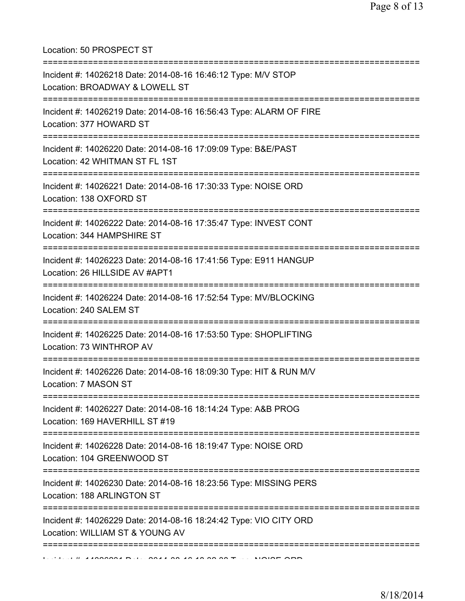Location: 50 PROSPECT ST

| Incident #: 14026218 Date: 2014-08-16 16:46:12 Type: M/V STOP<br>Location: BROADWAY & LOWELL ST      |
|------------------------------------------------------------------------------------------------------|
| Incident #: 14026219 Date: 2014-08-16 16:56:43 Type: ALARM OF FIRE<br>Location: 377 HOWARD ST        |
| Incident #: 14026220 Date: 2014-08-16 17:09:09 Type: B&E/PAST<br>Location: 42 WHITMAN ST FL 1ST      |
| Incident #: 14026221 Date: 2014-08-16 17:30:33 Type: NOISE ORD<br>Location: 138 OXFORD ST            |
| Incident #: 14026222 Date: 2014-08-16 17:35:47 Type: INVEST CONT<br>Location: 344 HAMPSHIRE ST       |
| Incident #: 14026223 Date: 2014-08-16 17:41:56 Type: E911 HANGUP<br>Location: 26 HILLSIDE AV #APT1   |
| Incident #: 14026224 Date: 2014-08-16 17:52:54 Type: MV/BLOCKING<br>Location: 240 SALEM ST           |
| Incident #: 14026225 Date: 2014-08-16 17:53:50 Type: SHOPLIFTING<br>Location: 73 WINTHROP AV         |
| Incident #: 14026226 Date: 2014-08-16 18:09:30 Type: HIT & RUN M/V<br>Location: 7 MASON ST           |
| Incident #: 14026227 Date: 2014-08-16 18:14:24 Type: A&B PROG<br>Location: 169 HAVERHILL ST #19      |
| Incident #: 14026228 Date: 2014-08-16 18:19:47 Type: NOISE ORD<br>Location: 104 GREENWOOD ST         |
| Incident #: 14026230 Date: 2014-08-16 18:23:56 Type: MISSING PERS<br>Location: 188 ARLINGTON ST      |
| Incident #: 14026229 Date: 2014-08-16 18:24:42 Type: VIO CITY ORD<br>Location: WILLIAM ST & YOUNG AV |
|                                                                                                      |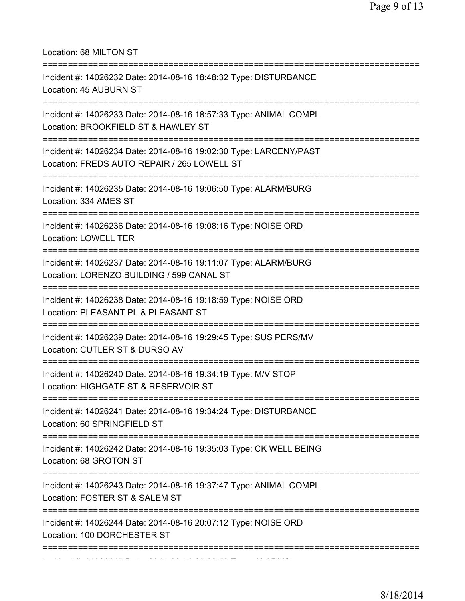Location: 68 MILTON ST =========================================================================== Incident #: 14026232 Date: 2014-08-16 18:48:32 Type: DISTURBANCE Location: 45 AUBURN ST =========================================================================== Incident #: 14026233 Date: 2014-08-16 18:57:33 Type: ANIMAL COMPL Location: BROOKFIELD ST & HAWLEY ST =========================================================================== Incident #: 14026234 Date: 2014-08-16 19:02:30 Type: LARCENY/PAST Location: FREDS AUTO REPAIR / 265 LOWELL ST =========================================================================== Incident #: 14026235 Date: 2014-08-16 19:06:50 Type: ALARM/BURG Location: 334 AMES ST =========================================================================== Incident #: 14026236 Date: 2014-08-16 19:08:16 Type: NOISE ORD Location: LOWELL TER =========================================================================== Incident #: 14026237 Date: 2014-08-16 19:11:07 Type: ALARM/BURG Location: LORENZO BUILDING / 599 CANAL ST =========================================================================== Incident #: 14026238 Date: 2014-08-16 19:18:59 Type: NOISE ORD Location: PLEASANT PL & PLEASANT ST =========================================================================== Incident #: 14026239 Date: 2014-08-16 19:29:45 Type: SUS PERS/MV Location: CUTLER ST & DURSO AV =========================================================================== Incident #: 14026240 Date: 2014-08-16 19:34:19 Type: M/V STOP Location: HIGHGATE ST & RESERVOIR ST =========================================================================== Incident #: 14026241 Date: 2014-08-16 19:34:24 Type: DISTURBANCE Location: 60 SPRINGFIELD ST =========================================================================== Incident #: 14026242 Date: 2014-08-16 19:35:03 Type: CK WELL BEING Location: 68 GROTON ST =========================================================================== Incident #: 14026243 Date: 2014-08-16 19:37:47 Type: ANIMAL COMPL Location: FOSTER ST & SALEM ST =========================================================================== Incident #: 14026244 Date: 2014-08-16 20:07:12 Type: NOISE ORD Location: 100 DORCHESTER ST =========================================================================== Incident #: 14026245 Date: 2014 08 16 20:08:58 Type: ALARMS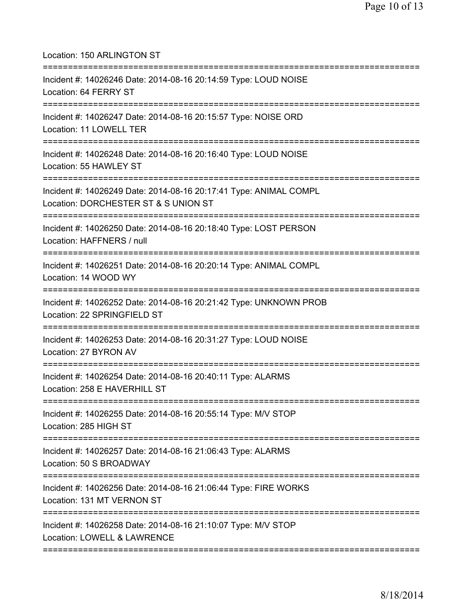Location: 150 ARLINGTON ST =========================================================================== Incident #: 14026246 Date: 2014-08-16 20:14:59 Type: LOUD NOISE Location: 64 FERRY ST =========================================================================== Incident #: 14026247 Date: 2014-08-16 20:15:57 Type: NOISE ORD Location: 11 LOWELL TER =========================================================================== Incident #: 14026248 Date: 2014-08-16 20:16:40 Type: LOUD NOISE Location: 55 HAWLEY ST =========================================================================== Incident #: 14026249 Date: 2014-08-16 20:17:41 Type: ANIMAL COMPL Location: DORCHESTER ST & S UNION ST =========================================================================== Incident #: 14026250 Date: 2014-08-16 20:18:40 Type: LOST PERSON Location: HAFFNERS / null =========================================================================== Incident #: 14026251 Date: 2014-08-16 20:20:14 Type: ANIMAL COMPL Location: 14 WOOD WY =========================================================================== Incident #: 14026252 Date: 2014-08-16 20:21:42 Type: UNKNOWN PROB Location: 22 SPRINGFIELD ST =========================================================================== Incident #: 14026253 Date: 2014-08-16 20:31:27 Type: LOUD NOISE Location: 27 BYRON AV =========================================================================== Incident #: 14026254 Date: 2014-08-16 20:40:11 Type: ALARMS Location: 258 E HAVERHILL ST =========================================================================== Incident #: 14026255 Date: 2014-08-16 20:55:14 Type: M/V STOP Location: 285 HIGH ST =========================================================================== Incident #: 14026257 Date: 2014-08-16 21:06:43 Type: ALARMS Location: 50 S BROADWAY =========================================================================== Incident #: 14026256 Date: 2014-08-16 21:06:44 Type: FIRE WORKS Location: 131 MT VERNON ST =========================================================================== Incident #: 14026258 Date: 2014-08-16 21:10:07 Type: M/V STOP Location: LOWELL & LAWRENCE ===========================================================================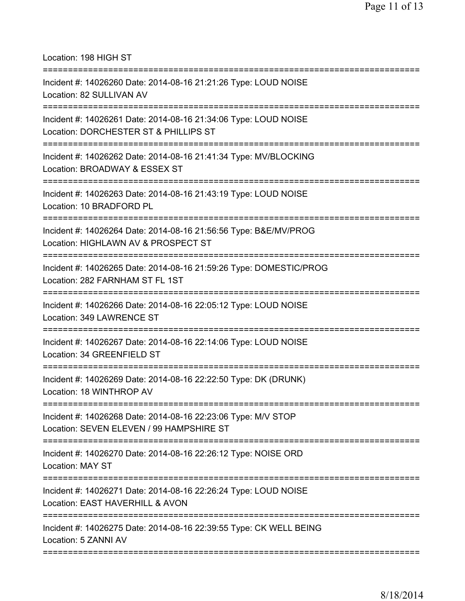Location: 198 HIGH ST

| Incident #: 14026260 Date: 2014-08-16 21:21:26 Type: LOUD NOISE<br>Location: 82 SULLIVAN AV               |
|-----------------------------------------------------------------------------------------------------------|
| Incident #: 14026261 Date: 2014-08-16 21:34:06 Type: LOUD NOISE<br>Location: DORCHESTER ST & PHILLIPS ST  |
| Incident #: 14026262 Date: 2014-08-16 21:41:34 Type: MV/BLOCKING<br>Location: BROADWAY & ESSEX ST         |
| Incident #: 14026263 Date: 2014-08-16 21:43:19 Type: LOUD NOISE<br>Location: 10 BRADFORD PL               |
| Incident #: 14026264 Date: 2014-08-16 21:56:56 Type: B&E/MV/PROG<br>Location: HIGHLAWN AV & PROSPECT ST   |
| Incident #: 14026265 Date: 2014-08-16 21:59:26 Type: DOMESTIC/PROG<br>Location: 282 FARNHAM ST FL 1ST     |
| Incident #: 14026266 Date: 2014-08-16 22:05:12 Type: LOUD NOISE<br>Location: 349 LAWRENCE ST              |
| Incident #: 14026267 Date: 2014-08-16 22:14:06 Type: LOUD NOISE<br>Location: 34 GREENFIELD ST             |
| Incident #: 14026269 Date: 2014-08-16 22:22:50 Type: DK (DRUNK)<br>Location: 18 WINTHROP AV               |
| Incident #: 14026268 Date: 2014-08-16 22:23:06 Type: M/V STOP<br>Location: SEVEN ELEVEN / 99 HAMPSHIRE ST |
| Incident #: 14026270 Date: 2014-08-16 22:26:12 Type: NOISE ORD<br><b>Location: MAY ST</b>                 |
| Incident #: 14026271 Date: 2014-08-16 22:26:24 Type: LOUD NOISE<br>Location: EAST HAVERHILL & AVON        |
| Incident #: 14026275 Date: 2014-08-16 22:39:55 Type: CK WELL BEING<br>Location: 5 ZANNI AV                |
|                                                                                                           |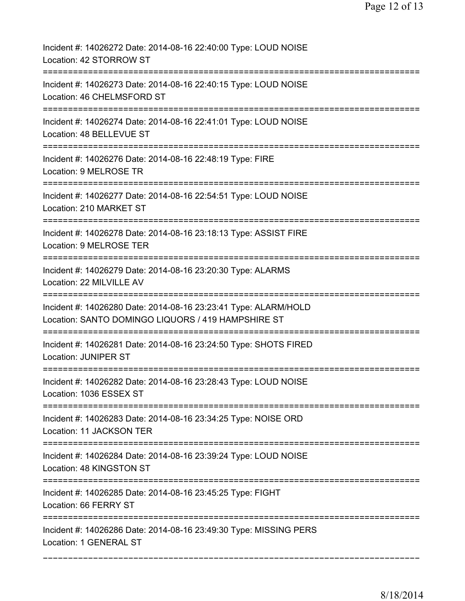| Incident #: 14026272 Date: 2014-08-16 22:40:00 Type: LOUD NOISE<br>Location: 42 STORROW ST                            |
|-----------------------------------------------------------------------------------------------------------------------|
| Incident #: 14026273 Date: 2014-08-16 22:40:15 Type: LOUD NOISE<br>Location: 46 CHELMSFORD ST                         |
| Incident #: 14026274 Date: 2014-08-16 22:41:01 Type: LOUD NOISE<br>Location: 48 BELLEVUE ST                           |
| Incident #: 14026276 Date: 2014-08-16 22:48:19 Type: FIRE<br>Location: 9 MELROSE TR                                   |
| Incident #: 14026277 Date: 2014-08-16 22:54:51 Type: LOUD NOISE<br>Location: 210 MARKET ST                            |
| Incident #: 14026278 Date: 2014-08-16 23:18:13 Type: ASSIST FIRE<br>Location: 9 MELROSE TER                           |
| Incident #: 14026279 Date: 2014-08-16 23:20:30 Type: ALARMS<br>Location: 22 MILVILLE AV                               |
| Incident #: 14026280 Date: 2014-08-16 23:23:41 Type: ALARM/HOLD<br>Location: SANTO DOMINGO LIQUORS / 419 HAMPSHIRE ST |
| Incident #: 14026281 Date: 2014-08-16 23:24:50 Type: SHOTS FIRED<br><b>Location: JUNIPER ST</b>                       |
| Incident #: 14026282 Date: 2014-08-16 23:28:43 Type: LOUD NOISE<br>Location: 1036 ESSEX ST                            |
| Incident #: 14026283 Date: 2014-08-16 23:34:25 Type: NOISE ORD<br>Location: 11 JACKSON TER                            |
| Incident #: 14026284 Date: 2014-08-16 23:39:24 Type: LOUD NOISE<br>Location: 48 KINGSTON ST                           |
| Incident #: 14026285 Date: 2014-08-16 23:45:25 Type: FIGHT<br>Location: 66 FERRY ST                                   |
| Incident #: 14026286 Date: 2014-08-16 23:49:30 Type: MISSING PERS<br>Location: 1 GENERAL ST                           |
|                                                                                                                       |